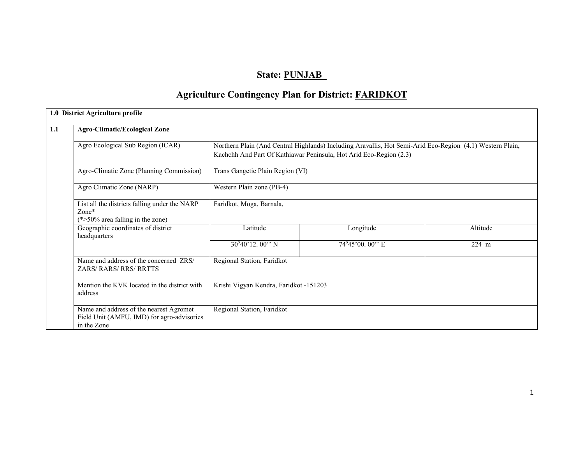# State: PUNJAB\_

# Agriculture Contingency Plan for District: FARIDKOT

| <b>Agro-Climatic/Ecological Zone</b>                                                                 |                                                                                                                                                                                 |                |                 |  |  |  |  |
|------------------------------------------------------------------------------------------------------|---------------------------------------------------------------------------------------------------------------------------------------------------------------------------------|----------------|-----------------|--|--|--|--|
| Agro Ecological Sub Region (ICAR)                                                                    | Northern Plain (And Central Highlands) Including Aravallis, Hot Semi-Arid Eco-Region (4.1) Western Plain,<br>Kachchh And Part Of Kathiawar Peninsula, Hot Arid Eco-Region (2.3) |                |                 |  |  |  |  |
| Agro-Climatic Zone (Planning Commission)                                                             | Trans Gangetic Plain Region (VI)                                                                                                                                                |                |                 |  |  |  |  |
| Agro Climatic Zone (NARP)                                                                            | Western Plain zone (PB-4)                                                                                                                                                       |                |                 |  |  |  |  |
| List all the districts falling under the NARP<br>Zone*<br>$(*>50\%$ area falling in the zone)        | Faridkot, Moga, Barnala,                                                                                                                                                        |                |                 |  |  |  |  |
| Geographic coordinates of district<br>headquarters                                                   | Latitude                                                                                                                                                                        | Longitude      | Altitude        |  |  |  |  |
|                                                                                                      | $30^{\circ}40'12.00''$ N                                                                                                                                                        | 74°45'00.00" E | $224 \text{ m}$ |  |  |  |  |
| Name and address of the concerned ZRS/<br><b>ZARS/RARS/RRS/RRTTS</b>                                 | Regional Station, Faridkot                                                                                                                                                      |                |                 |  |  |  |  |
| Mention the KVK located in the district with<br>address                                              | Krishi Vigyan Kendra, Faridkot -151203                                                                                                                                          |                |                 |  |  |  |  |
| Name and address of the nearest Agromet<br>Field Unit (AMFU, IMD) for agro-advisories<br>in the Zone | Regional Station, Faridkot                                                                                                                                                      |                |                 |  |  |  |  |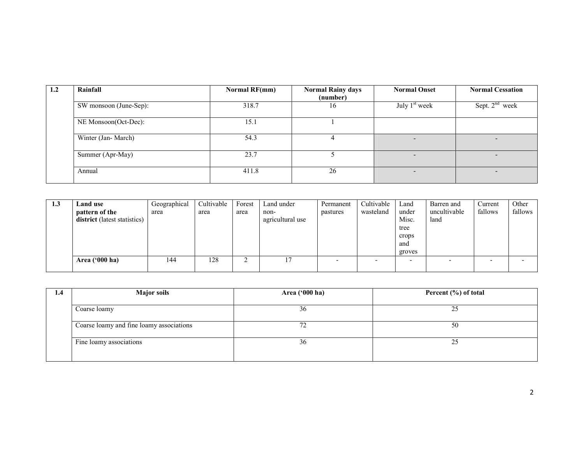| 1.2 | Rainfall               | Normal RF(mm) | <b>Normal Rainy days</b><br>(number) | <b>Normal Onset</b> | <b>Normal Cessation</b> |
|-----|------------------------|---------------|--------------------------------------|---------------------|-------------------------|
|     | SW monsoon (June-Sep): | 318.7         | 16                                   | July $1st$ week     | Sept. $2nd$ week        |
|     | NE Monsoon(Oct-Dec):   | 15.1          |                                      |                     |                         |
|     | Winter (Jan-March)     | 54.3          |                                      |                     | -                       |
|     | Summer (Apr-May)       | 23.7          |                                      |                     |                         |
|     | Annual                 | 411.8         | 26                                   |                     |                         |

| 1.3 | Land use<br>pattern of the<br>district (latest statistics) | Geographical<br>area | Cultivable<br>area | Forest<br>area | Land under<br>non-<br>agricultural use | Permanent<br>pastures | Cultivable<br>wasteland | Land<br>under<br>Misc.<br>tree<br>crops<br>and<br>groves | Barren and<br>uncultivable<br>land | Current<br>fallows | Other<br>fallows |
|-----|------------------------------------------------------------|----------------------|--------------------|----------------|----------------------------------------|-----------------------|-------------------------|----------------------------------------------------------|------------------------------------|--------------------|------------------|
|     | Area $('000 ha)$                                           | 144                  | 128                | ∼              |                                        |                       |                         | -                                                        |                                    |                    |                  |

| 1.4 | <b>Major soils</b>                       | Area ('000 ha) | Percent (%) of total |
|-----|------------------------------------------|----------------|----------------------|
|     | Coarse loamy                             | 36             | 25                   |
|     | Coarse loamy and fine loamy associations |                | 50                   |
|     | Fine loamy associations                  | 36             | 25                   |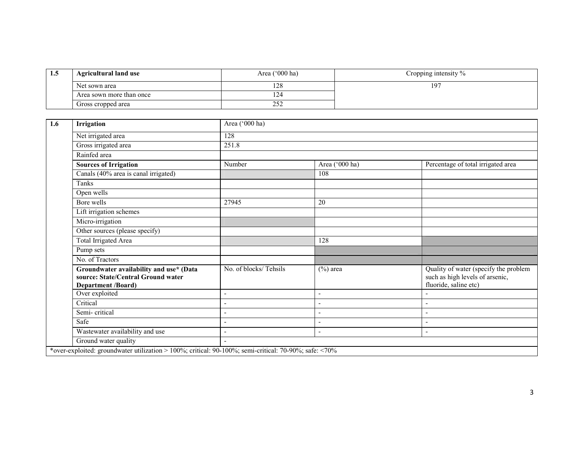| L.J | <b>Agricultural land use</b> | Cropping intensity $\%$ |                 |
|-----|------------------------------|-------------------------|-----------------|
|     | Net sown area                | ററ<br>140               | 19 <sup>7</sup> |
|     | Area sown more than once     | $-1$                    |                 |
|     | Gross cropped area           | ے ر                     |                 |

| 1.6 | Irrigation                                                                                                 | Area ('000 ha)        |                |                                                                                                   |  |  |  |  |
|-----|------------------------------------------------------------------------------------------------------------|-----------------------|----------------|---------------------------------------------------------------------------------------------------|--|--|--|--|
|     | Net irrigated area                                                                                         | 128                   |                |                                                                                                   |  |  |  |  |
|     | Gross irrigated area                                                                                       | 251.8                 |                |                                                                                                   |  |  |  |  |
|     | Rainfed area                                                                                               |                       |                |                                                                                                   |  |  |  |  |
|     | <b>Sources of Irrigation</b>                                                                               | Number                | Area ('000 ha) | Percentage of total irrigated area                                                                |  |  |  |  |
|     | Canals (40% area is canal irrigated)                                                                       |                       | 108            |                                                                                                   |  |  |  |  |
|     | Tanks                                                                                                      |                       |                |                                                                                                   |  |  |  |  |
|     | Open wells                                                                                                 |                       |                |                                                                                                   |  |  |  |  |
|     | Bore wells                                                                                                 | 27945                 | 20             |                                                                                                   |  |  |  |  |
|     | Lift irrigation schemes                                                                                    |                       |                |                                                                                                   |  |  |  |  |
|     | Micro-irrigation                                                                                           |                       |                |                                                                                                   |  |  |  |  |
|     | Other sources (please specify)                                                                             |                       |                |                                                                                                   |  |  |  |  |
|     | <b>Total Irrigated Area</b>                                                                                |                       | 128            |                                                                                                   |  |  |  |  |
|     | Pump sets                                                                                                  |                       |                |                                                                                                   |  |  |  |  |
|     | No. of Tractors                                                                                            |                       |                |                                                                                                   |  |  |  |  |
|     | Groundwater availability and use* (Data<br>source: State/Central Ground water<br><b>Department /Board)</b> | No. of blocks/Tehsils | $(\%)$ area    | Quality of water (specify the problem<br>such as high levels of arsenic,<br>fluoride, saline etc) |  |  |  |  |
|     | Over exploited                                                                                             | $\qquad \qquad -$     | $\sim$         |                                                                                                   |  |  |  |  |
|     | Critical                                                                                                   |                       | $\sim$         |                                                                                                   |  |  |  |  |
|     | Semi-critical                                                                                              |                       | $\sim$         | $\overline{\phantom{a}}$                                                                          |  |  |  |  |
|     | Safe                                                                                                       | $\blacksquare$        | $\overline{a}$ | $\overline{\phantom{a}}$                                                                          |  |  |  |  |
|     | Wastewater availability and use                                                                            |                       | $\sim$         | $\overline{\phantom{a}}$                                                                          |  |  |  |  |
|     | Ground water quality                                                                                       |                       |                |                                                                                                   |  |  |  |  |
|     | *over-exploited: groundwater utilization > 100%; critical: 90-100%; semi-critical: 70-90%; safe: <70%      |                       |                |                                                                                                   |  |  |  |  |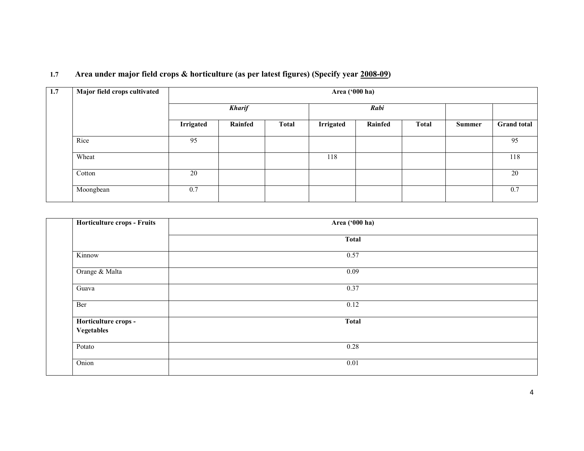| 1.7 |  | Area under major field crops & horticulture (as per latest figures) (Specify year 2008-09) |  |
|-----|--|--------------------------------------------------------------------------------------------|--|
|     |  |                                                                                            |  |

| 1.7 | Major field crops cultivated | Area ('000 ha) |               |              |           |         |              |        |                    |
|-----|------------------------------|----------------|---------------|--------------|-----------|---------|--------------|--------|--------------------|
|     |                              |                | <b>Kharif</b> |              |           | Rabi    |              |        |                    |
|     |                              | Irrigated      | Rainfed       | <b>Total</b> | Irrigated | Rainfed | <b>Total</b> | Summer | <b>Grand</b> total |
|     | Rice                         | 95             |               |              |           |         |              |        | 95                 |
|     | Wheat                        |                |               |              | 118       |         |              |        | 118                |
|     | Cotton                       | 20             |               |              |           |         |              |        | 20                 |
|     | Moongbean                    | 0.7            |               |              |           |         |              |        | 0.7                |

| Horticulture crops - Fruits        | Area ('000 ha) |  |
|------------------------------------|----------------|--|
|                                    | <b>Total</b>   |  |
| Kinnow                             | 0.57           |  |
| Orange & Malta                     | 0.09           |  |
| Guava                              | 0.37           |  |
| Ber                                | 0.12           |  |
| Horticulture crops -<br>Vegetables | <b>Total</b>   |  |
| Potato                             | 0.28           |  |
| Onion                              | 0.01           |  |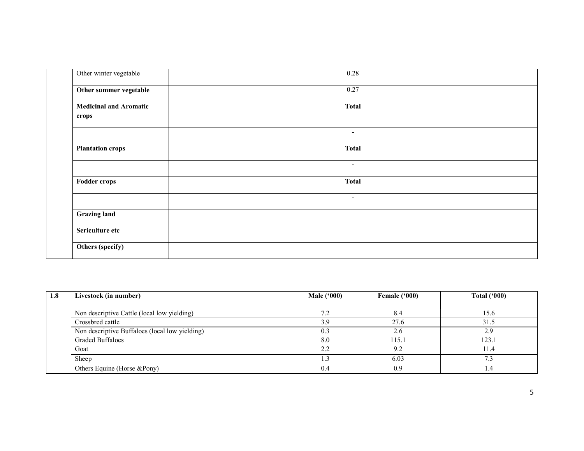| Other winter vegetable                 | 0.28                     |
|----------------------------------------|--------------------------|
| Other summer vegetable                 | 0.27                     |
| <b>Medicinal and Aromatic</b><br>crops | <b>Total</b>             |
|                                        | ۰.                       |
| <b>Plantation crops</b>                | <b>Total</b>             |
|                                        | $\overline{\phantom{a}}$ |
| <b>Fodder crops</b>                    | <b>Total</b>             |
|                                        | $\overline{\phantom{a}}$ |
| <b>Grazing land</b>                    |                          |
| Sericulture etc                        |                          |
| Others (specify)                       |                          |

| 1.8 | Livestock (in number)                          | Male $(900)$ | Female ('000) | Total $(900)$ |
|-----|------------------------------------------------|--------------|---------------|---------------|
|     |                                                |              |               |               |
|     | Non descriptive Cattle (local low yielding)    | 7.2          | 8.4           | 15.6          |
|     | Crossbred cattle                               | 3.9          | 27.6          | 31.5          |
|     | Non descriptive Buffaloes (local low yielding) | 0.3          | 2.6           | 2.9           |
|     | <b>Graded Buffaloes</b>                        | 8.0          | 115.1         | 123.          |
|     | Goat                                           | 2.2          | 9.2           |               |
|     | Sheep                                          | .3           | 6.03          | 73            |
|     | Others Equine (Horse &Pony)                    | 0.4          | 0.9           | 4.4           |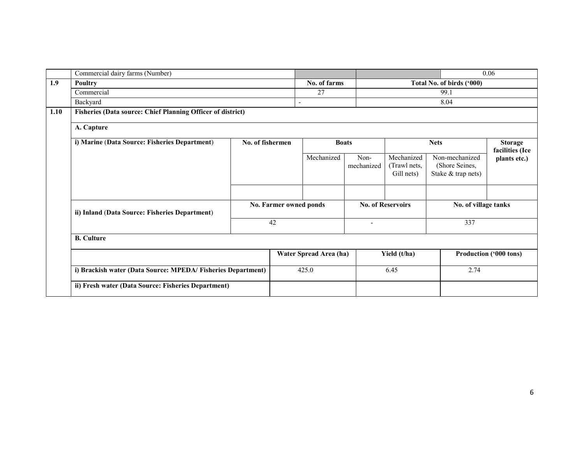|      | Commercial dairy farms (Number)                                    |                        |        |                        |                                           |                                          |                                                        | 0.06                              |  |
|------|--------------------------------------------------------------------|------------------------|--------|------------------------|-------------------------------------------|------------------------------------------|--------------------------------------------------------|-----------------------------------|--|
| 1.9  | <b>Poultry</b>                                                     |                        |        |                        | No. of farms<br>Total No. of birds ('000) |                                          |                                                        |                                   |  |
|      | Commercial                                                         |                        |        | 27                     |                                           |                                          | 99.1                                                   |                                   |  |
|      | Backyard                                                           |                        | $\sim$ |                        |                                           |                                          | 8.04                                                   |                                   |  |
| 1.10 | <b>Fisheries (Data source: Chief Planning Officer of district)</b> |                        |        |                        |                                           |                                          |                                                        |                                   |  |
|      | A. Capture                                                         |                        |        |                        |                                           |                                          |                                                        |                                   |  |
|      | i) Marine (Data Source: Fisheries Department)                      | No. of fishermen       |        |                        | <b>Boats</b>                              |                                          | <b>Nets</b>                                            | <b>Storage</b><br>facilities (Ice |  |
|      |                                                                    |                        |        | Mechanized             | Non-<br>mechanized                        | Mechanized<br>(Trawl nets,<br>Gill nets) | Non-mechanized<br>(Shore Seines,<br>Stake & trap nets) | plants etc.)                      |  |
|      |                                                                    |                        |        |                        |                                           |                                          |                                                        |                                   |  |
|      | ii) Inland (Data Source: Fisheries Department)                     | No. Farmer owned ponds |        |                        | <b>No. of Reservoirs</b>                  |                                          | No. of village tanks                                   |                                   |  |
|      |                                                                    | 42                     |        |                        |                                           | 337                                      |                                                        |                                   |  |
|      | <b>B.</b> Culture                                                  |                        |        |                        |                                           |                                          |                                                        |                                   |  |
|      |                                                                    |                        |        | Water Spread Area (ha) |                                           | Yield (t/ha)                             | Production ('000 tons)                                 |                                   |  |
|      | i) Brackish water (Data Source: MPEDA/Fisheries Department)        |                        |        | 425.0                  | 6.45                                      |                                          | 2.74                                                   |                                   |  |
|      | ii) Fresh water (Data Source: Fisheries Department)                |                        |        |                        |                                           |                                          |                                                        |                                   |  |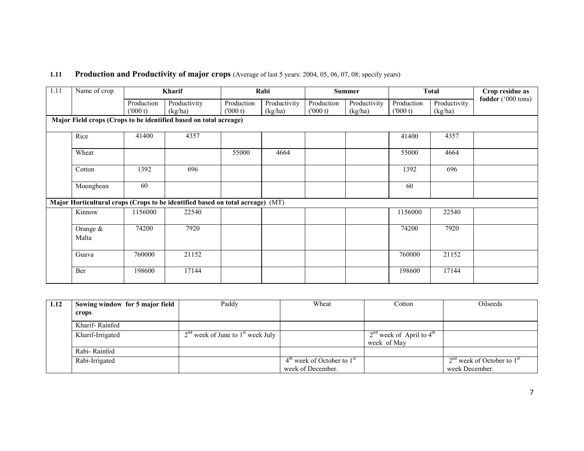## 1.11 Production and Productivity of major crops (Average of last 5 years: 2004, 05, 06, 07, 08; specify years)

| 1.11 | Name of crop        |                        | Kharif                                                                         |                       | Rabi         |                       | <b>Summer</b> |                       | <b>Total</b> | Crop residue as    |
|------|---------------------|------------------------|--------------------------------------------------------------------------------|-----------------------|--------------|-----------------------|---------------|-----------------------|--------------|--------------------|
|      |                     | Production<br>(1000 t) | Productivity                                                                   | Production<br>(000 t) | Productivity | Production<br>(000 t) | Productivity  | Production<br>(000 t) | Productivity | fodder ('000 tons) |
|      |                     |                        | (kg/ha)<br>Major Field crops (Crops to be identified based on total acreage)   |                       | (kg/ha)      |                       | (kg/ha)       |                       | (kg/ha)      |                    |
|      | Rice                | 41400                  | 4357                                                                           |                       |              |                       |               | 41400                 | 4357         |                    |
|      | Wheat               |                        |                                                                                | 55000                 | 4664         |                       |               | 55000                 | 4664         |                    |
|      | Cotton              | 1392                   | 696                                                                            |                       |              |                       |               | 1392                  | 696          |                    |
|      | Moongbean           | 60                     |                                                                                |                       |              |                       |               | 60                    |              |                    |
|      |                     |                        | Major Horticultural crops (Crops to be identified based on total acreage) (MT) |                       |              |                       |               |                       |              |                    |
|      | Kinnow              | 1156000                | 22540                                                                          |                       |              |                       |               | 1156000               | 22540        |                    |
|      | Orange $&$<br>Malta | 74200                  | 7920                                                                           |                       |              |                       |               | 74200                 | 7920         |                    |
|      | Guava               | 760000                 | 21152                                                                          |                       |              |                       |               | 760000                | 21152        |                    |
|      | Ber                 | 198600                 | 17144                                                                          |                       |              |                       |               | 198600                | 17144        |                    |

| 1.12 | Sowing window for 5 major field | Paddy                                 | Wheat                                              | Cotton                       | Oilseeds                       |
|------|---------------------------------|---------------------------------------|----------------------------------------------------|------------------------------|--------------------------------|
|      | crops                           |                                       |                                                    |                              |                                |
|      | Kharif-Rainfed                  |                                       |                                                    |                              |                                |
|      | Kharif-Irrigated                | $2nd$ week of June to $1st$ week July |                                                    | $2nd$ week of April to $4th$ |                                |
|      |                                 |                                       |                                                    | week of May                  |                                |
|      | Rabi-Rainfed                    |                                       |                                                    |                              |                                |
|      | Rabi-Irrigated                  |                                       | $4^{\text{th}}$ week of October to $1^{\text{st}}$ |                              | $2nd$ week of October to $1st$ |
|      |                                 |                                       | week of December.                                  |                              | week December.                 |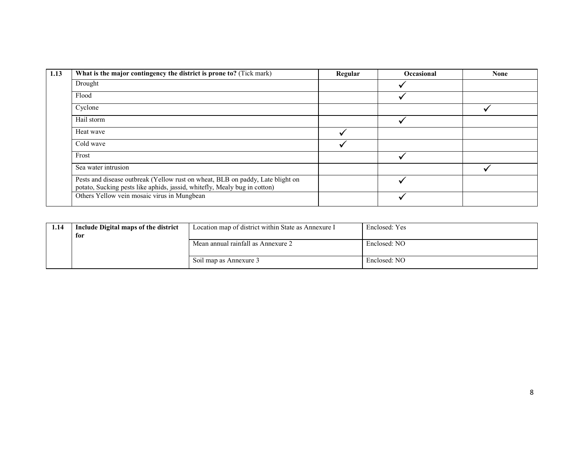| 1.13 | What is the major contingency the district is prone to? (Tick mark)                                                                                         | Regular | <b>Occasional</b> | <b>None</b> |
|------|-------------------------------------------------------------------------------------------------------------------------------------------------------------|---------|-------------------|-------------|
|      | Drought                                                                                                                                                     |         |                   |             |
|      | Flood                                                                                                                                                       |         |                   |             |
|      | Cyclone                                                                                                                                                     |         |                   |             |
|      | Hail storm                                                                                                                                                  |         |                   |             |
|      | Heat wave                                                                                                                                                   |         |                   |             |
|      | Cold wave                                                                                                                                                   |         |                   |             |
|      | Frost                                                                                                                                                       |         |                   |             |
|      | Sea water intrusion                                                                                                                                         |         |                   |             |
|      | Pests and disease outbreak (Yellow rust on wheat, BLB on paddy, Late blight on<br>potato, Sucking pests like aphids, jassid, whitefly, Mealy bug in cotton) |         |                   |             |
|      | Others Yellow vein mosaic virus in Mungbean                                                                                                                 |         |                   |             |

| 1.14 | Include Digital maps of the district | Location map of district within State as Annexure I | Enclosed: Yes |
|------|--------------------------------------|-----------------------------------------------------|---------------|
|      | for                                  |                                                     |               |
|      |                                      | Mean annual rainfall as Annexure 2                  | Enclosed: NO  |
|      |                                      | Soil map as Annexure 3                              | Enclosed: NO  |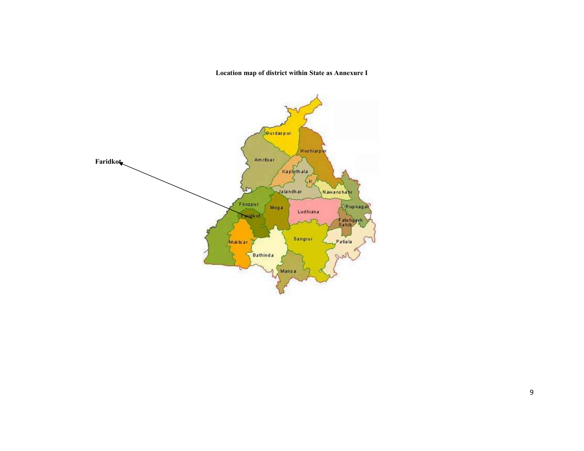Location map of district within State as Annexure I

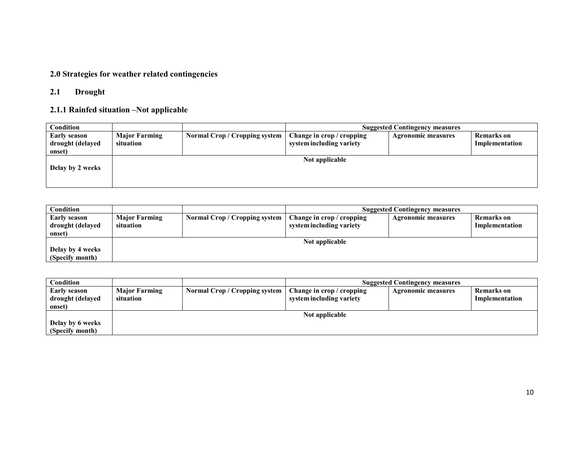#### 2.0 Strategies for weather related contingencies

#### 2.1 Drought

## 2.1.1 Rainfed situation –Not applicable

| Condition                                         |                                   |                               | <b>Suggested Contingency measures</b>                 |                           |                                     |  |
|---------------------------------------------------|-----------------------------------|-------------------------------|-------------------------------------------------------|---------------------------|-------------------------------------|--|
| <b>Early season</b><br>drought (delayed<br>onset) | <b>Major Farming</b><br>situation | Normal Crop / Cropping system | Change in crop / cropping<br>system including variety | <b>Agronomic measures</b> | <b>Remarks</b> on<br>Implementation |  |
| Delay by 2 weeks                                  |                                   |                               | Not applicable                                        |                           |                                     |  |

| Condition           |                      | <b>Suggested Contingency measures</b> |                           |                           |                   |  |  |
|---------------------|----------------------|---------------------------------------|---------------------------|---------------------------|-------------------|--|--|
| <b>Early season</b> | <b>Major Farming</b> | Normal Crop / Cropping system         | Change in crop / cropping | <b>Agronomic measures</b> | <b>Remarks</b> on |  |  |
| drought (delayed    | situation            |                                       | system including variety  |                           | Implementation    |  |  |
| onset)              |                      |                                       |                           |                           |                   |  |  |
|                     |                      |                                       | Not applicable            |                           |                   |  |  |
| Delay by 4 weeks    |                      |                                       |                           |                           |                   |  |  |
| (Specify month)     |                      |                                       |                           |                           |                   |  |  |

| Condition           |                      |                               | <b>Suggested Contingency measures</b> |                           |                |  |  |
|---------------------|----------------------|-------------------------------|---------------------------------------|---------------------------|----------------|--|--|
| <b>Early season</b> | <b>Major Farming</b> | Normal Crop / Cropping system | Change in crop / cropping             | <b>Agronomic measures</b> | Remarks on     |  |  |
| drought (delayed    | situation            |                               | system including variety              |                           | Implementation |  |  |
| onset)              |                      |                               |                                       |                           |                |  |  |
|                     |                      |                               | Not applicable                        |                           |                |  |  |
| Delay by 6 weeks    |                      |                               |                                       |                           |                |  |  |
| (Specify month)     |                      |                               |                                       |                           |                |  |  |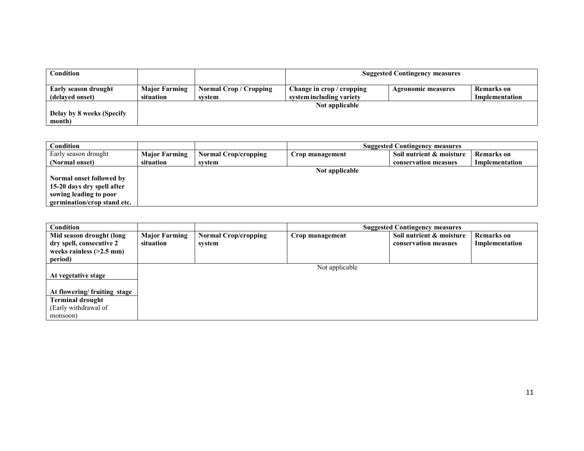| Condition                                      |                                   |                                         | <b>Suggested Contingency measures</b>                 |                           |                                     |  |
|------------------------------------------------|-----------------------------------|-----------------------------------------|-------------------------------------------------------|---------------------------|-------------------------------------|--|
| <b>Early season drought</b><br>(delayed onset) | <b>Major Farming</b><br>situation | <b>Normal Crop / Cropping</b><br>system | Change in crop / cropping<br>system including variety | <b>Agronomic measures</b> | <b>Remarks</b> on<br>Implementation |  |
| Delay by 8 weeks (Specify<br>month)            |                                   |                                         | Not applicable                                        |                           |                                     |  |

| Condition                   |                      |                             |                 | <b>Suggested Contingency measures</b> |                   |
|-----------------------------|----------------------|-----------------------------|-----------------|---------------------------------------|-------------------|
| Early season drought        | <b>Major Farming</b> | <b>Normal Crop/cropping</b> | Crop management | Soil nutrient & moisture              | <b>Remarks</b> on |
| (Normal onset)              | situation            | svstem                      |                 | conservation measues                  | Implementation    |
|                             |                      |                             | Not applicable  |                                       |                   |
| Normal onset followed by    |                      |                             |                 |                                       |                   |
| 15-20 days dry spell after  |                      |                             |                 |                                       |                   |
| sowing leading to poor      |                      |                             |                 |                                       |                   |
| germination/crop stand etc. |                      |                             |                 |                                       |                   |

| Condition                                                                                     |                                   |                                       |                 | <b>Suggested Contingency measures</b>            |                                     |
|-----------------------------------------------------------------------------------------------|-----------------------------------|---------------------------------------|-----------------|--------------------------------------------------|-------------------------------------|
| Mid season drought (long<br>dry spell, consecutive 2<br>weeks rainless $(>2.5$ mm)<br>period) | <b>Major Farming</b><br>situation | <b>Normal Crop/cropping</b><br>system | Crop management | Soil nutrient & moisture<br>conservation measues | <b>Remarks</b> on<br>Implementation |
| At vegetative stage                                                                           |                                   |                                       | Not applicable  |                                                  |                                     |
| At flowering/fruiting stage                                                                   |                                   |                                       |                 |                                                  |                                     |
| <b>Terminal drought</b><br>(Early withdrawal of                                               |                                   |                                       |                 |                                                  |                                     |
| monsoon)                                                                                      |                                   |                                       |                 |                                                  |                                     |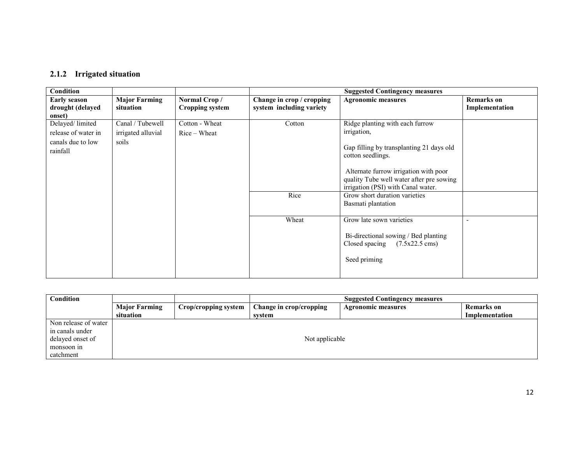#### 2.1.2 Irrigated situation

| Condition           |                      |                        | <b>Suggested Contingency measures</b> |                                                                                |                   |  |  |
|---------------------|----------------------|------------------------|---------------------------------------|--------------------------------------------------------------------------------|-------------------|--|--|
| <b>Early season</b> | <b>Major Farming</b> | Normal Crop/           | Change in crop / cropping             | <b>Agronomic measures</b>                                                      | <b>Remarks on</b> |  |  |
| drought (delayed    | situation            | <b>Cropping system</b> | system including variety              |                                                                                | Implementation    |  |  |
| onset)              |                      |                        |                                       |                                                                                |                   |  |  |
| Delayed/limited     | Canal / Tubewell     | Cotton - Wheat         | Cotton                                | Ridge planting with each furrow                                                |                   |  |  |
| release of water in | irrigated alluvial   | $Rice-Wheat$           |                                       | irrigation,                                                                    |                   |  |  |
| canals due to low   | soils                |                        |                                       |                                                                                |                   |  |  |
| rainfall            |                      |                        |                                       | Gap filling by transplanting 21 days old                                       |                   |  |  |
|                     |                      |                        |                                       | cotton seedlings.                                                              |                   |  |  |
|                     |                      |                        |                                       |                                                                                |                   |  |  |
|                     |                      |                        |                                       | Alternate furrow irrigation with poor                                          |                   |  |  |
|                     |                      |                        |                                       | quality Tube well water after pre sowing<br>irrigation (PSI) with Canal water. |                   |  |  |
|                     |                      |                        | Rice                                  | Grow short duration varieties                                                  |                   |  |  |
|                     |                      |                        |                                       | Basmati plantation                                                             |                   |  |  |
|                     |                      |                        |                                       |                                                                                |                   |  |  |
|                     |                      |                        | Wheat                                 | Grow late sown varieties                                                       |                   |  |  |
|                     |                      |                        |                                       |                                                                                |                   |  |  |
|                     |                      |                        |                                       | Bi-directional sowing / Bed planting                                           |                   |  |  |
|                     |                      |                        |                                       | $(7.5x22.5 \text{ cms})$<br>Closed spacing                                     |                   |  |  |
|                     |                      |                        |                                       |                                                                                |                   |  |  |
|                     |                      |                        |                                       | Seed priming                                                                   |                   |  |  |
|                     |                      |                        |                                       |                                                                                |                   |  |  |
|                     |                      |                        |                                       |                                                                                |                   |  |  |

| Condition            |                      |                      | <b>Suggested Contingency measures</b> |                           |                   |  |  |  |
|----------------------|----------------------|----------------------|---------------------------------------|---------------------------|-------------------|--|--|--|
|                      | <b>Major Farming</b> | Crop/cropping system | Change in crop/cropping               | <b>Agronomic measures</b> | <b>Remarks</b> on |  |  |  |
|                      | situation            |                      | system                                |                           | Implementation    |  |  |  |
| Non release of water |                      |                      |                                       |                           |                   |  |  |  |
| in canals under      |                      |                      |                                       |                           |                   |  |  |  |
| delayed onset of     |                      |                      | Not applicable                        |                           |                   |  |  |  |
| monsoon in           |                      |                      |                                       |                           |                   |  |  |  |
| catchment            |                      |                      |                                       |                           |                   |  |  |  |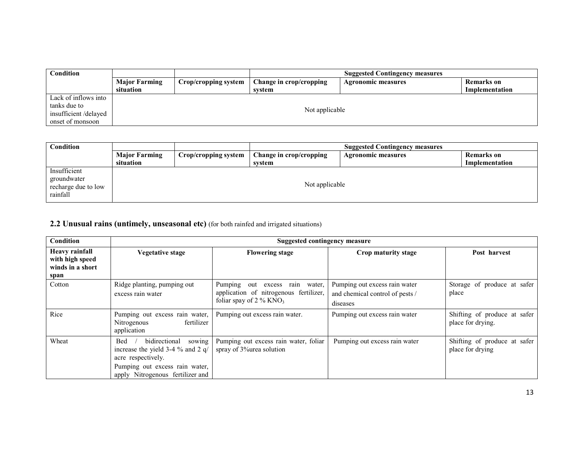| Condition            |                      |                      | <b>Suggested Contingency measures</b> |                    |                |
|----------------------|----------------------|----------------------|---------------------------------------|--------------------|----------------|
|                      | <b>Major Farming</b> | Crop/cropping system | Change in crop/cropping               | Agronomic measures | Remarks on     |
|                      | situation            |                      | svstem                                |                    | Implementation |
| Lack of inflows into |                      |                      |                                       |                    |                |
| tanks due to         |                      |                      |                                       |                    |                |
| insufficient/delayed |                      |                      | Not applicable                        |                    |                |
| onset of monsoon     |                      |                      |                                       |                    |                |

| Condition           |                      | <b>Suggested Contingency measures</b> |                         |                           |                   |
|---------------------|----------------------|---------------------------------------|-------------------------|---------------------------|-------------------|
|                     | <b>Major Farming</b> | Crop/cropping system                  | Change in crop/cropping | <b>Agronomic measures</b> | <b>Remarks</b> on |
|                     | situation            |                                       | system                  |                           | Implementation    |
| Insufficient        |                      |                                       |                         |                           |                   |
| groundwater         |                      |                                       |                         |                           |                   |
| recharge due to low |                      |                                       |                         |                           |                   |
| rainfall            |                      |                                       |                         |                           |                   |
|                     |                      |                                       | Not applicable          |                           |                   |

## 2.2 Unusual rains (untimely, unseasonal etc) (for both rainfed and irrigated situations)

| Condition                                                            |                                                                                                                                | <b>Suggested contingency measure</b>                                                                                 |                                                                              |                                                   |  |  |
|----------------------------------------------------------------------|--------------------------------------------------------------------------------------------------------------------------------|----------------------------------------------------------------------------------------------------------------------|------------------------------------------------------------------------------|---------------------------------------------------|--|--|
| <b>Heavy rainfall</b><br>with high speed<br>winds in a short<br>span | Vegetative stage                                                                                                               | <b>Flowering stage</b>                                                                                               | Crop maturity stage                                                          | Post harvest                                      |  |  |
| Cotton                                                               | Ridge planting, pumping out<br>excess rain water                                                                               | Pumping<br>out excess rain water,<br>application of nitrogenous fertilizer,<br>foliar spay of $2\%$ KNO <sub>3</sub> | Pumping out excess rain water<br>and chemical control of pests /<br>diseases | Storage of produce at safer<br>place              |  |  |
| Rice                                                                 | Pumping out excess rain water,<br>fertilizer<br>Nitrogenous<br>application                                                     | Pumping out excess rain water.                                                                                       | Pumping out excess rain water                                                | Shifting of produce at safer<br>place for drying. |  |  |
| Wheat                                                                | sowing<br>bidirectional<br>Bed<br>increase the yield 3-4 $\%$ and 2 q/<br>acre respectively.<br>Pumping out excess rain water, | Pumping out excess rain water, foliar<br>spray of 3% area solution                                                   | Pumping out excess rain water                                                | Shifting of produce at safer<br>place for drying  |  |  |
|                                                                      | apply Nitrogenous fertilizer and                                                                                               |                                                                                                                      |                                                                              |                                                   |  |  |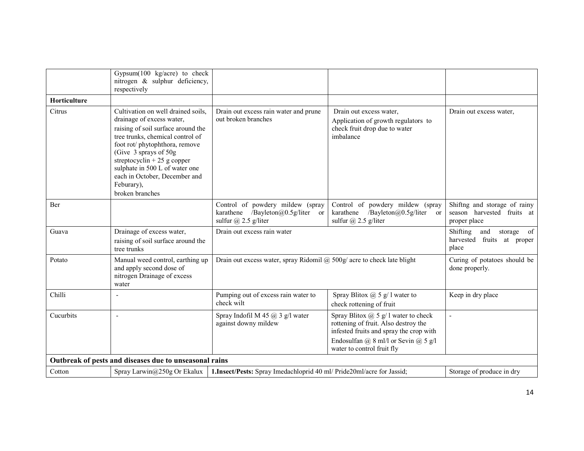|              | Gypsum(100 kg/acre) to check<br>nitrogen & sulphur deficiency,<br>respectively                                                                                                                                                                                                                                                          |                                                                                               |                                                                                                                                                                                                    |                                                                            |
|--------------|-----------------------------------------------------------------------------------------------------------------------------------------------------------------------------------------------------------------------------------------------------------------------------------------------------------------------------------------|-----------------------------------------------------------------------------------------------|----------------------------------------------------------------------------------------------------------------------------------------------------------------------------------------------------|----------------------------------------------------------------------------|
| Horticulture |                                                                                                                                                                                                                                                                                                                                         |                                                                                               |                                                                                                                                                                                                    |                                                                            |
| Citrus       | Cultivation on well drained soils,<br>drainage of excess water,<br>raising of soil surface around the<br>tree trunks, chemical control of<br>foot rot/phytophthora, remove<br>(Give 3 sprays of 50g)<br>streptocyclin + 25 g copper<br>sulphate in 500 L of water one<br>each in October, December and<br>Feburary),<br>broken branches | Drain out excess rain water and prune<br>out broken branches                                  | Drain out excess water.<br>Application of growth regulators to<br>check fruit drop due to water<br>imbalance                                                                                       | Drain out excess water,                                                    |
| Ber          |                                                                                                                                                                                                                                                                                                                                         | Control of powdery mildew (spray<br>karathene /Bayleton@0.5g/liter or<br>sulfur @ 2.5 g/liter | Control of powdery mildew (spray<br>karathene<br>/Bayleton@0.5g/liter<br>$\alpha$<br>sulfur $\omega$ 2.5 g/liter                                                                                   | Shiftng and storage of rainy<br>season harvested fruits at<br>proper place |
| Guava        | Drainage of excess water,<br>raising of soil surface around the<br>tree trunks                                                                                                                                                                                                                                                          | Drain out excess rain water                                                                   |                                                                                                                                                                                                    | Shifting<br>storage of<br>and<br>harvested fruits at proper<br>place       |
| Potato       | Manual weed control, earthing up<br>and apply second dose of<br>nitrogen Drainage of excess<br>water                                                                                                                                                                                                                                    |                                                                                               | Drain out excess water, spray Ridomil @ 500g/ acre to check late blight                                                                                                                            |                                                                            |
| Chilli       |                                                                                                                                                                                                                                                                                                                                         | Pumping out of excess rain water to<br>check wilt                                             | Spray Blitox $\omega$ 5 g/ l water to<br>check rottening of fruit                                                                                                                                  | Keep in dry place                                                          |
| Cucurbits    |                                                                                                                                                                                                                                                                                                                                         | Spray Indofil M 45 $\omega$ 3 g/l water<br>against downy mildew                               | Spray Blitox $@$ 5 $g$ / 1 water to check<br>rottening of fruit. Also destroy the<br>infested fruits and spray the crop with<br>Endosulfan @ 8 ml/l or Sevin @ 5 g/l<br>water to control fruit fly |                                                                            |
|              | Outbreak of pests and diseases due to unseasonal rains                                                                                                                                                                                                                                                                                  |                                                                                               |                                                                                                                                                                                                    |                                                                            |
| Cotton       | Spray Larwin@250g Or Ekalux                                                                                                                                                                                                                                                                                                             | 1. Insect/Pests: Spray Imedachloprid 40 ml/ Pride20ml/acre for Jassid;                        |                                                                                                                                                                                                    | Storage of produce in dry                                                  |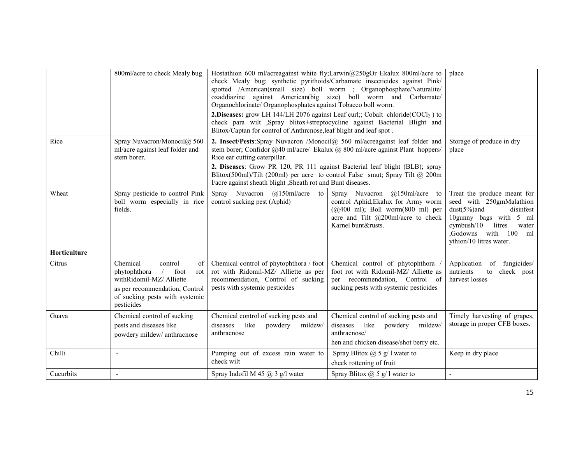|              | 800ml/acre to check Mealy bug                                                                                                                                                        | Hostathion 600 ml/acreagainst white fly;Larwin@250gOr Ekalux 800ml/acre to<br>check Mealy bug; synthetic pyrithoids/Carbamate insecticides against Pink/<br>spotted /American(small size) boll worm ; Organophosphate/Naturalite/<br>oxaddiazine against American(big size) boll worm and Carbamate/<br>Organochlorinate/ Organophosphates against Tobacco boll worm.<br><b>2.Diseases:</b> grow LH 144/LH 2076 against Leaf curl;; Cobalt chloride( $COCl2$ ) to<br>check para wilt ,Spray blitox+streptocycline against Bacterial Blight and<br>Blitox/Captan for control of Anthronose, leaf blight and leaf spot. | place                                                                                                                                                                                                 |                                                                                                                                                                                                     |
|--------------|--------------------------------------------------------------------------------------------------------------------------------------------------------------------------------------|-----------------------------------------------------------------------------------------------------------------------------------------------------------------------------------------------------------------------------------------------------------------------------------------------------------------------------------------------------------------------------------------------------------------------------------------------------------------------------------------------------------------------------------------------------------------------------------------------------------------------|-------------------------------------------------------------------------------------------------------------------------------------------------------------------------------------------------------|-----------------------------------------------------------------------------------------------------------------------------------------------------------------------------------------------------|
| Rice         | Spray Nuvacron/Monocil@ 560<br>ml/acre against leaf folder and<br>stem borer.                                                                                                        | 2. Insect/Pests:Spray Nuvacron /Monocil@ 560 ml/acreagainst leaf folder and<br>stem borer; Confidor @40 ml/acre/ Ekalux @ 800 ml/acre against Plant hoppers/<br>Rice ear cutting caterpillar.<br>2. Diseases: Grow PR 120, PR 111 against Bacterial leaf blight (BLB); spray<br>Blitox(500ml)/Tilt (200ml) per acre to control False smut; Spray Tilt @ 200m<br>l/acre against sheath blight , Sheath rot and Bunt diseases.                                                                                                                                                                                          | Storage of produce in dry<br>place                                                                                                                                                                    |                                                                                                                                                                                                     |
| Wheat        | Spray pesticide to control Pink<br>boll worm especially in rice<br>fields.                                                                                                           | Spray Nuvacron @150ml/acre<br>to<br>control sucking pest (Aphid)                                                                                                                                                                                                                                                                                                                                                                                                                                                                                                                                                      | Spray<br>$@150ml/acre$ to<br>Nuvacron<br>control Aphid, Ekalux for Army worm<br>$(Q400 \text{ ml})$ ; Boll worm $(800 \text{ ml})$ per<br>acre and Tilt $@200$ ml/acre to check<br>Karnel bunt&rusts. | Treat the produce meant for<br>seed with 250gmMalathion<br>$dust(5%)$ and<br>disinfest<br>10gunny bags with 5 ml<br>cymbush/10<br>litres<br>water<br>Godowns with 100 ml<br>ythion/10 litres water. |
| Horticulture |                                                                                                                                                                                      |                                                                                                                                                                                                                                                                                                                                                                                                                                                                                                                                                                                                                       |                                                                                                                                                                                                       |                                                                                                                                                                                                     |
| Citrus       | Chemical<br>control<br>of<br>phytophthora<br>foot<br>$\sqrt{2}$<br>rot<br>withRidomil-MZ/ Alliette<br>as per recommendation, Control<br>of sucking pests with systemic<br>pesticides | Chemical control of phytophthora / foot<br>rot with Ridomil-MZ/ Alliette as per<br>recommendation, Control of sucking<br>pests with systemic pesticides                                                                                                                                                                                                                                                                                                                                                                                                                                                               | Chemical control of phytophthora<br>foot rot with Ridomil-MZ/ Alliette as<br>recommendation, Control of<br>per<br>sucking pests with systemic pesticides                                              | of fungicides/<br>Application<br>nutrients<br>check post<br>to<br>harvest losses                                                                                                                    |
| Guava        | Chemical control of sucking<br>pests and diseases like<br>powdery mildew/ anthracnose                                                                                                | Chemical control of sucking pests and<br>diseases<br>like<br>powdery<br>mildew/<br>anthracnose                                                                                                                                                                                                                                                                                                                                                                                                                                                                                                                        | Chemical control of sucking pests and<br>diseases<br>like<br>powdery<br>mildew/<br>anthracnose/<br>hen and chicken disease/shot berry etc.                                                            | Timely harvesting of grapes,<br>storage in proper CFB boxes.                                                                                                                                        |
| Chilli       | $\overline{a}$                                                                                                                                                                       | Pumping out of excess rain water to<br>check wilt                                                                                                                                                                                                                                                                                                                                                                                                                                                                                                                                                                     | Spray Blitox $(a)$ 5 g/ 1 water to<br>check rottening of fruit                                                                                                                                        | Keep in dry place                                                                                                                                                                                   |
| Cucurbits    |                                                                                                                                                                                      | Spray Indofil M 45 @ 3 g/l water                                                                                                                                                                                                                                                                                                                                                                                                                                                                                                                                                                                      | Spray Blitox $(a)$ 5 g/ 1 water to                                                                                                                                                                    |                                                                                                                                                                                                     |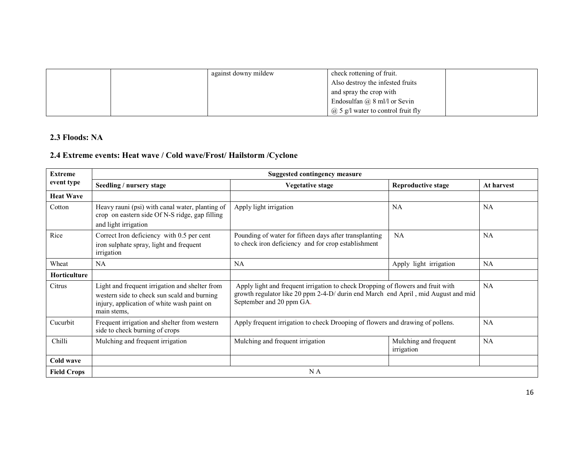|  | against downy mildew | check rottening of fruit.                                        |  |
|--|----------------------|------------------------------------------------------------------|--|
|  |                      | Also destroy the infested fruits                                 |  |
|  |                      | and spray the crop with                                          |  |
|  |                      | Endosulfan $\omega$ 8 ml/l or Sevin                              |  |
|  |                      | $\mathcal{P}$ ( $\mathcal{Q}$ ) 5 g/l water to control fruit fly |  |

#### 2.3 Floods: NA

# 2.4 Extreme events: Heat wave / Cold wave/Frost/ Hailstorm /Cyclone

| <b>Extreme</b>      | <b>Suggested contingency measure</b>                                                                                                                       |                                                                                                                                                                                                  |                                     |            |  |
|---------------------|------------------------------------------------------------------------------------------------------------------------------------------------------------|--------------------------------------------------------------------------------------------------------------------------------------------------------------------------------------------------|-------------------------------------|------------|--|
| event type          | Seedling / nursery stage                                                                                                                                   | <b>Vegetative stage</b>                                                                                                                                                                          | <b>Reproductive stage</b>           | At harvest |  |
| <b>Heat Wave</b>    |                                                                                                                                                            |                                                                                                                                                                                                  |                                     |            |  |
| Cotton              | Heavy rauni (psi) with canal water, planting of<br>crop on eastern side Of N-S ridge, gap filling<br>and light irrigation                                  | Apply light irrigation                                                                                                                                                                           | <b>NA</b>                           | NA         |  |
| Rice                | Correct Iron deficiency with 0.5 per cent<br>iron sulphate spray, light and frequent<br>irrigation                                                         | Pounding of water for fifteen days after transplanting<br>to check iron deficiency and for crop establishment                                                                                    | NA                                  | <b>NA</b>  |  |
| Wheat               | <b>NA</b>                                                                                                                                                  | NA                                                                                                                                                                                               | Apply light irrigation              | NA         |  |
| <b>Horticulture</b> |                                                                                                                                                            |                                                                                                                                                                                                  |                                     |            |  |
| Citrus              | Light and frequent irrigation and shelter from<br>western side to check sun scald and burning<br>injury, application of white wash paint on<br>main stems, | Apply light and frequent irrigation to check Dropping of flowers and fruit with<br>growth regulator like 20 ppm 2-4-D/ durin end March end April, mid August and mid<br>September and 20 ppm GA. |                                     | NA         |  |
| Cucurbit            | Frequent irrigation and shelter from western<br>side to check burning of crops                                                                             | Apply frequent irrigation to check Drooping of flowers and drawing of pollens.                                                                                                                   |                                     | <b>NA</b>  |  |
| Chilli              | Mulching and frequent irrigation                                                                                                                           | Mulching and frequent irrigation                                                                                                                                                                 | Mulching and frequent<br>irrigation | NA         |  |
| Cold wave           |                                                                                                                                                            |                                                                                                                                                                                                  |                                     |            |  |
| <b>Field Crops</b>  |                                                                                                                                                            | N A                                                                                                                                                                                              |                                     |            |  |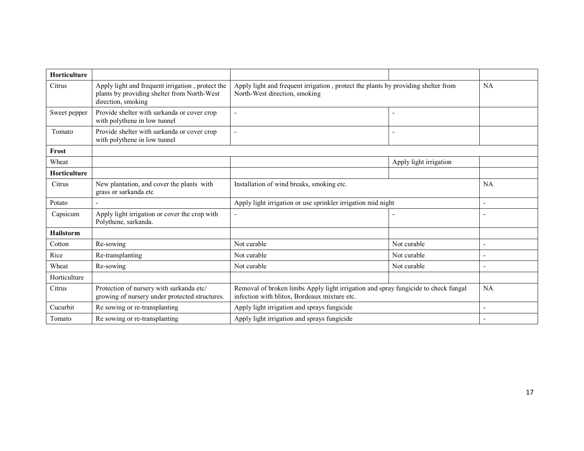| <b>Horticulture</b> |                                                                                                                       |                                                                                                                                    |             |                          |
|---------------------|-----------------------------------------------------------------------------------------------------------------------|------------------------------------------------------------------------------------------------------------------------------------|-------------|--------------------------|
| Citrus              | Apply light and frequent irrigation, protect the<br>plants by providing shelter from North-West<br>direction, smoking | Apply light and frequent irrigation, protect the plants by providing shelter from<br>North-West direction, smoking                 |             | NA                       |
| Sweet pepper        | Provide shelter with sarkanda or cover crop<br>with polythene in low tunnel                                           |                                                                                                                                    |             |                          |
| Tomato              | Provide shelter with sarkanda or cover crop<br>with polythene in low tunnel                                           |                                                                                                                                    |             |                          |
| Frost               |                                                                                                                       |                                                                                                                                    |             |                          |
| Wheat               |                                                                                                                       | Apply light irrigation                                                                                                             |             |                          |
| Horticulture        |                                                                                                                       |                                                                                                                                    |             |                          |
| Citrus              | New plantation, and cover the plants with<br>grass or sarkanda etc                                                    | Installation of wind breaks, smoking etc.                                                                                          |             | <b>NA</b>                |
| Potato              |                                                                                                                       | Apply light irrigation or use sprinkler irrigation mid night                                                                       |             | $\overline{\phantom{a}}$ |
| Capsicum            | Apply light irrigation or cover the crop with<br>Polythene, sarkanda.                                                 |                                                                                                                                    |             | $\overline{\phantom{a}}$ |
| <b>Hailstorm</b>    |                                                                                                                       |                                                                                                                                    |             |                          |
| Cotton              | Re-sowing                                                                                                             | Not curable                                                                                                                        | Not curable | ٠                        |
| Rice                | Re-transplanting                                                                                                      | Not curable                                                                                                                        | Not curable |                          |
| Wheat               | Re-sowing                                                                                                             | Not curable                                                                                                                        | Not curable | $\overline{\phantom{a}}$ |
| Horticulture        |                                                                                                                       |                                                                                                                                    |             |                          |
| Citrus              | Protection of nursery with sarkanda etc/<br>growing of nursery under protected structures.                            | Removal of broken limbs Apply light irrigation and spray fungicide to check fungal<br>infection with blitox, Bordeaux mixture etc. |             | NA                       |
| Cucurbit            | Re sowing or re-transplanting                                                                                         | Apply light irrigation and sprays fungicide                                                                                        |             | ٠                        |
| Tomato              | Re sowing or re-transplanting                                                                                         | Apply light irrigation and sprays fungicide                                                                                        |             |                          |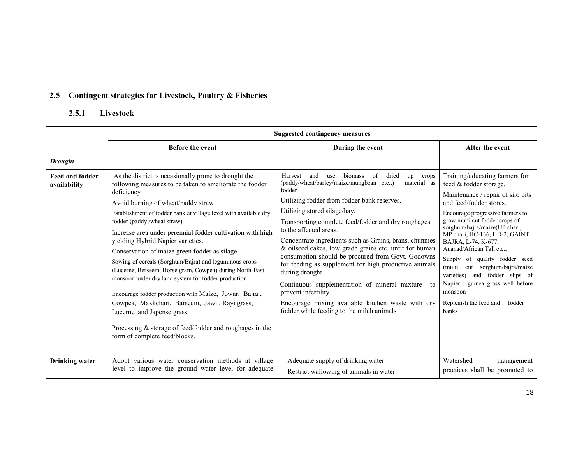## 2.5 Contingent strategies for Livestock, Poultry & Fisheries

## 2.5.1 Livestock

|                                        |                                                                                                                                                                                                                                                                                                                                                                                                                                                                                                                                                                                                                                                                                                                                                                                                                                             | <b>Suggested contingency measures</b>                                                                                                                                                                                                                                                                                                                                                                                                                                                                                                                                                                                                                                                                                                          |                                                                                                                                                                                                                                                                                                                                                                                                                                                                                                                             |  |  |
|----------------------------------------|---------------------------------------------------------------------------------------------------------------------------------------------------------------------------------------------------------------------------------------------------------------------------------------------------------------------------------------------------------------------------------------------------------------------------------------------------------------------------------------------------------------------------------------------------------------------------------------------------------------------------------------------------------------------------------------------------------------------------------------------------------------------------------------------------------------------------------------------|------------------------------------------------------------------------------------------------------------------------------------------------------------------------------------------------------------------------------------------------------------------------------------------------------------------------------------------------------------------------------------------------------------------------------------------------------------------------------------------------------------------------------------------------------------------------------------------------------------------------------------------------------------------------------------------------------------------------------------------------|-----------------------------------------------------------------------------------------------------------------------------------------------------------------------------------------------------------------------------------------------------------------------------------------------------------------------------------------------------------------------------------------------------------------------------------------------------------------------------------------------------------------------------|--|--|
|                                        | <b>Before the event</b>                                                                                                                                                                                                                                                                                                                                                                                                                                                                                                                                                                                                                                                                                                                                                                                                                     | During the event                                                                                                                                                                                                                                                                                                                                                                                                                                                                                                                                                                                                                                                                                                                               | After the event                                                                                                                                                                                                                                                                                                                                                                                                                                                                                                             |  |  |
| <b>Drought</b>                         |                                                                                                                                                                                                                                                                                                                                                                                                                                                                                                                                                                                                                                                                                                                                                                                                                                             |                                                                                                                                                                                                                                                                                                                                                                                                                                                                                                                                                                                                                                                                                                                                                |                                                                                                                                                                                                                                                                                                                                                                                                                                                                                                                             |  |  |
| <b>Feed and fodder</b><br>availability | As the district is occasionally prone to drought the<br>following measures to be taken to ameliorate the fodder<br>deficiency<br>Avoid burning of wheat/paddy straw<br>Establishment of fodder bank at village level with available dry<br>fodder (paddy/wheat straw)<br>Increase area under perennial fodder cultivation with high<br>yielding Hybrid Napier varieties.<br>Conservation of maize green fodder as silage<br>Sowing of cereals (Sorghum/Bajra) and leguminous crops<br>(Lucerne, Berseem, Horse gram, Cowpea) during North-East<br>monsoon under dry land system for fodder production<br>Encourage fodder production with Maize, Jowar, Bajra,<br>Cowpea, Makkchari, Barseem, Jawi, Rayi grass,<br>Lucerne and Japense grass<br>Processing $&$ storage of feed/fodder and roughages in the<br>form of complete feed/blocks. | of<br>Harvest<br>and<br><b>biomass</b><br>dried<br>up crops<br>use<br>(paddy/wheat/barley/maize/mungbean etc.,)<br>material as<br>fodder<br>Utilizing fodder from fodder bank reserves.<br>Utilizing stored silage/hay.<br>Transporting complete feed/fodder and dry roughages<br>to the affected areas.<br>Concentrate ingredients such as Grains, brans, chunnies<br>& oilseed cakes, low grade grains etc. unfit for human<br>consumption should be procured from Govt. Godowns<br>for feeding as supplement for high productive animals<br>during drought<br>Continuous supplementation of mineral mixture<br>to<br>prevent infertility.<br>Encourage mixing available kitchen waste with dry<br>fodder while feeding to the milch animals | Training/educating farmers for<br>feed & fodder storage.<br>Maintenance / repair of silo pits<br>and feed/fodder stores.<br>Encourage progressive farmers to<br>grow multi cut fodder crops of<br>sorghum/bajra/maize(UP chari,<br>MP chari, HC-136, HD-2, GAINT<br>BAJRA, L-74, K-677,<br>Ananad/African Tall etc.,<br>Supply of quality fodder seed<br>cut sorghum/bajra/maize<br>(multi<br>and fodder slips of<br>varieties)<br>Napier, guinea grass well before<br>monsoon<br>Replenish the feed and<br>fodder<br>banks |  |  |
| <b>Drinking</b> water                  | Adopt various water conservation methods at village<br>level to improve the ground water level for adequate                                                                                                                                                                                                                                                                                                                                                                                                                                                                                                                                                                                                                                                                                                                                 | Adequate supply of drinking water.<br>Restrict wallowing of animals in water                                                                                                                                                                                                                                                                                                                                                                                                                                                                                                                                                                                                                                                                   | Watershed<br>management<br>practices shall be promoted to                                                                                                                                                                                                                                                                                                                                                                                                                                                                   |  |  |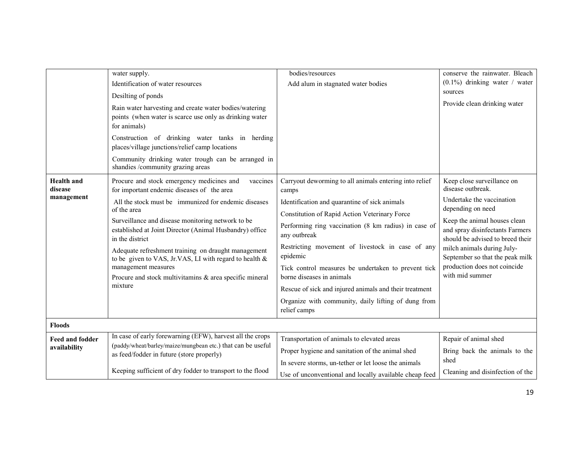| <b>Health</b> and<br>disease<br>management | water supply.<br>Identification of water resources<br>Desilting of ponds<br>Rain water harvesting and create water bodies/watering<br>points (when water is scarce use only as drinking water<br>for animals)<br>Construction of drinking water tanks in herding<br>places/village junctions/relief camp locations<br>Community drinking water trough can be arranged in<br>shandies /community grazing areas<br>Procure and stock emergency medicines and<br>vaccines<br>for important endemic diseases of the area<br>All the stock must be immunized for endemic diseases<br>of the area<br>Surveillance and disease monitoring network to be<br>established at Joint Director (Animal Husbandry) office<br>in the district<br>Adequate refreshment training on draught management<br>to be given to VAS, Jr.VAS, LI with regard to health & | bodies/resources<br>Add alum in stagnated water bodies<br>Carryout deworming to all animals entering into relief<br>camps<br>Identification and quarantine of sick animals<br>Constitution of Rapid Action Veterinary Force<br>Performing ring vaccination (8 km radius) in case of<br>any outbreak<br>Restricting movement of livestock in case of any<br>epidemic | conserve the rainwater. Bleach<br>$(0.1\%)$ drinking water / water<br>sources<br>Provide clean drinking water<br>Keep close surveillance on<br>disease outbreak.<br>Undertake the vaccination<br>depending on need<br>Keep the animal houses clean<br>and spray disinfectants Farmers<br>should be advised to breed their<br>milch animals during July-<br>September so that the peak milk |
|--------------------------------------------|-------------------------------------------------------------------------------------------------------------------------------------------------------------------------------------------------------------------------------------------------------------------------------------------------------------------------------------------------------------------------------------------------------------------------------------------------------------------------------------------------------------------------------------------------------------------------------------------------------------------------------------------------------------------------------------------------------------------------------------------------------------------------------------------------------------------------------------------------|---------------------------------------------------------------------------------------------------------------------------------------------------------------------------------------------------------------------------------------------------------------------------------------------------------------------------------------------------------------------|--------------------------------------------------------------------------------------------------------------------------------------------------------------------------------------------------------------------------------------------------------------------------------------------------------------------------------------------------------------------------------------------|
|                                            | management measures<br>Procure and stock multivitamins & area specific mineral<br>mixture                                                                                                                                                                                                                                                                                                                                                                                                                                                                                                                                                                                                                                                                                                                                                       | Tick control measures be undertaken to prevent tick<br>borne diseases in animals<br>Rescue of sick and injured animals and their treatment<br>Organize with community, daily lifting of dung from<br>relief camps                                                                                                                                                   | production does not coincide<br>with mid summer                                                                                                                                                                                                                                                                                                                                            |
| <b>Floods</b>                              |                                                                                                                                                                                                                                                                                                                                                                                                                                                                                                                                                                                                                                                                                                                                                                                                                                                 |                                                                                                                                                                                                                                                                                                                                                                     |                                                                                                                                                                                                                                                                                                                                                                                            |
| <b>Feed and fodder</b><br>availability     | In case of early forewarning (EFW), harvest all the crops<br>(paddy/wheat/barley/maize/mungbean etc.) that can be useful<br>as feed/fodder in future (store properly)                                                                                                                                                                                                                                                                                                                                                                                                                                                                                                                                                                                                                                                                           | Transportation of animals to elevated areas<br>Proper hygiene and sanitation of the animal shed<br>In severe storms, un-tether or let loose the animals                                                                                                                                                                                                             | Repair of animal shed<br>Bring back the animals to the<br>shed                                                                                                                                                                                                                                                                                                                             |
|                                            | Keeping sufficient of dry fodder to transport to the flood                                                                                                                                                                                                                                                                                                                                                                                                                                                                                                                                                                                                                                                                                                                                                                                      | Use of unconventional and locally available cheap feed                                                                                                                                                                                                                                                                                                              | Cleaning and disinfection of the                                                                                                                                                                                                                                                                                                                                                           |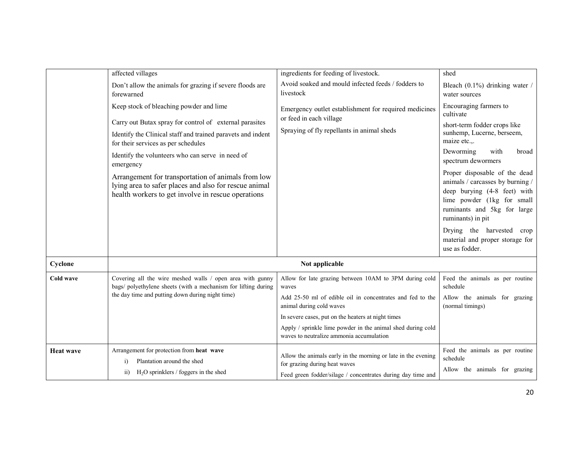|                  | affected villages                                                                                                                                                 | ingredients for feeding of livestock.                                                                                                                         | shed                                                                                                                                                                                |
|------------------|-------------------------------------------------------------------------------------------------------------------------------------------------------------------|---------------------------------------------------------------------------------------------------------------------------------------------------------------|-------------------------------------------------------------------------------------------------------------------------------------------------------------------------------------|
|                  | Don't allow the animals for grazing if severe floods are<br>forewarned                                                                                            | Avoid soaked and mould infected feeds / fodders to<br>livestock                                                                                               | Bleach $(0.1\%)$ drinking water /<br>water sources                                                                                                                                  |
|                  | Keep stock of bleaching powder and lime<br>Carry out Butax spray for control of external parasites<br>Identify the Clinical staff and trained paravets and indent | Emergency outlet establishment for required medicines<br>or feed in each village<br>Spraying of fly repellants in animal sheds                                | Encouraging farmers to<br>cultivate<br>short-term fodder crops like<br>sunhemp, Lucerne, berseem,                                                                                   |
|                  | for their services as per schedules                                                                                                                               |                                                                                                                                                               | maize etc.,.                                                                                                                                                                        |
|                  | Identify the volunteers who can serve in need of<br>emergency                                                                                                     |                                                                                                                                                               | Deworming<br>with<br>broad<br>spectrum dewormers                                                                                                                                    |
|                  | Arrangement for transportation of animals from low<br>lying area to safer places and also for rescue animal<br>health workers to get involve in rescue operations |                                                                                                                                                               | Proper disposable of the dead<br>animals / carcasses by burning /<br>deep burying (4-8 feet) with<br>lime powder (1kg for small<br>ruminants and 5kg for large<br>ruminants) in pit |
|                  |                                                                                                                                                                   |                                                                                                                                                               | Drying the harvested crop<br>material and proper storage for<br>use as fodder.                                                                                                      |
| Cyclone          |                                                                                                                                                                   | Not applicable                                                                                                                                                |                                                                                                                                                                                     |
| <b>Cold wave</b> | Covering all the wire meshed walls / open area with gunny<br>bags/ polyethylene sheets (with a mechanism for lifting during                                       | Allow for late grazing between 10AM to 3PM during cold<br>waves                                                                                               | Feed the animals as per routine<br>schedule                                                                                                                                         |
|                  | the day time and putting down during night time)                                                                                                                  | Add 25-50 ml of edible oil in concentrates and fed to the<br>animal during cold waves                                                                         | Allow the animals for grazing<br>(normal timings)                                                                                                                                   |
|                  |                                                                                                                                                                   | In severe cases, put on the heaters at night times                                                                                                            |                                                                                                                                                                                     |
|                  |                                                                                                                                                                   | Apply / sprinkle lime powder in the animal shed during cold<br>waves to neutralize ammonia accumulation                                                       |                                                                                                                                                                                     |
| <b>Heat wave</b> | Arrangement for protection from heat wave<br>Plantation around the shed<br>$\overline{1}$<br>$H2O$ sprinklers / foggers in the shed<br>$\overline{11}$            | Allow the animals early in the morning or late in the evening<br>for grazing during heat waves<br>Feed green fodder/silage / concentrates during day time and | Feed the animals as per routine<br>schedule<br>Allow the animals for grazing                                                                                                        |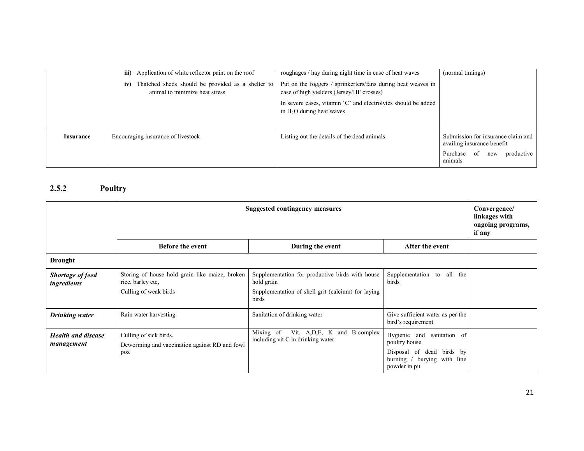|           | <b>iii)</b> Application of white reflector paint on the roof                               | roughages / hay during night time in case of heat waves                                                   | (normal timings)                                                                                                     |
|-----------|--------------------------------------------------------------------------------------------|-----------------------------------------------------------------------------------------------------------|----------------------------------------------------------------------------------------------------------------------|
|           | Thatched sheds should be provided as a shelter to<br>iv)<br>animal to minimize heat stress | Put on the foggers / sprinkerlers/fans during heat weaves in<br>case of high yielders (Jersey/HF crosses) |                                                                                                                      |
|           |                                                                                            | In severe cases, vitamin 'C' and electrolytes should be added<br>in $H2O$ during heat waves.              |                                                                                                                      |
| Insurance | Encouraging insurance of livestock                                                         | Listing out the details of the dead animals                                                               | Submission for insurance claim and<br>availing insurance benefit<br>Purchase<br>productive<br>- of<br>new<br>animals |

## 2.5.2 Poultry

|                                         | <b>Suggested contingency measures</b>                                                        |                                                                                                                              |                                                                                                                                | Convergence/<br>linkages with<br>ongoing programs,<br>if any |
|-----------------------------------------|----------------------------------------------------------------------------------------------|------------------------------------------------------------------------------------------------------------------------------|--------------------------------------------------------------------------------------------------------------------------------|--------------------------------------------------------------|
|                                         | <b>Before the event</b>                                                                      | During the event                                                                                                             | After the event                                                                                                                |                                                              |
| <b>Drought</b>                          |                                                                                              |                                                                                                                              |                                                                                                                                |                                                              |
| <b>Shortage of feed</b><br>ingredients  | Storing of house hold grain like maize, broken<br>rice, barley etc.<br>Culling of weak birds | Supplementation for productive birds with house<br>hold grain<br>Supplementation of shell grit (calcium) for laying<br>birds | Supplementation to<br>all the<br>birds                                                                                         |                                                              |
| <b>Drinking water</b>                   | Rain water harvesting                                                                        | Sanitation of drinking water                                                                                                 | Give sufficient water as per the<br>bird's requirement                                                                         |                                                              |
| <b>Health and disease</b><br>management | Culling of sick birds.<br>Deworming and vaccination against RD and fowl<br>pox               | Vit. A, D, E, K and B-complex<br>Mixing of<br>including vit C in drinking water                                              | Hygienic and<br>sanitation of<br>poultry house<br>Disposal of dead birds by<br>burying with line<br>burning /<br>powder in pit |                                                              |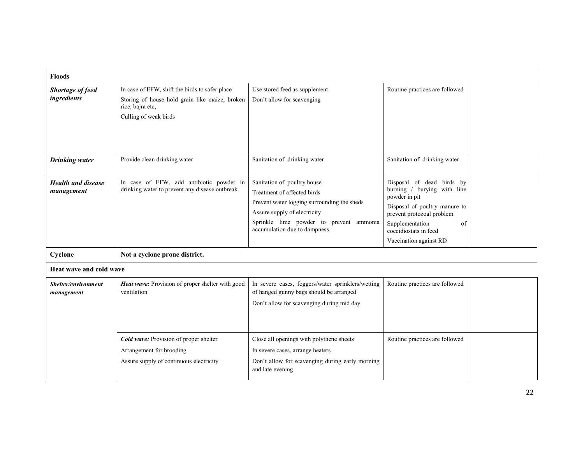| <b>Floods</b>                           |                                                                                                                                               |                                                                                                                                                                                                                      |                                                                                                                                                                                                                     |  |
|-----------------------------------------|-----------------------------------------------------------------------------------------------------------------------------------------------|----------------------------------------------------------------------------------------------------------------------------------------------------------------------------------------------------------------------|---------------------------------------------------------------------------------------------------------------------------------------------------------------------------------------------------------------------|--|
| Shortage of feed<br>ingredients         | In case of EFW, shift the birds to safer place<br>Storing of house hold grain like maize, broken<br>rice, bajra etc,<br>Culling of weak birds | Use stored feed as supplement<br>Don't allow for scavenging                                                                                                                                                          | Routine practices are followed                                                                                                                                                                                      |  |
| <b>Drinking water</b>                   | Provide clean drinking water                                                                                                                  | Sanitation of drinking water                                                                                                                                                                                         | Sanitation of drinking water                                                                                                                                                                                        |  |
| <b>Health and disease</b><br>management | In case of EFW, add antibiotic powder in<br>drinking water to prevent any disease outbreak                                                    | Sanitation of poultry house<br>Treatment of affected birds<br>Prevent water logging surrounding the sheds<br>Assure supply of electricity<br>Sprinkle lime powder to prevent ammonia<br>accumulation due to dampness | Disposal of dead birds by<br>burning / burying with line<br>powder in pit<br>Disposal of poultry manure to<br>prevent protozoal problem<br>Supplementation<br>of<br>coccidiostats in feed<br>Vaccination against RD |  |
| Cyclone                                 | Not a cyclone prone district.                                                                                                                 |                                                                                                                                                                                                                      |                                                                                                                                                                                                                     |  |
| Heat wave and cold wave                 |                                                                                                                                               |                                                                                                                                                                                                                      |                                                                                                                                                                                                                     |  |
| Shelter/environment<br>management       | Heat wave: Provision of proper shelter with good<br>ventilation                                                                               | In severe cases, foggers/water sprinklers/wetting<br>of hanged gunny bags should be arranged<br>Don't allow for scavenging during mid day                                                                            | Routine practices are followed                                                                                                                                                                                      |  |
|                                         | Cold wave: Provision of proper shelter<br>Arrangement for brooding<br>Assure supply of continuous electricity                                 | Close all openings with polythene sheets<br>In severe cases, arrange heaters<br>Don't allow for scavenging during early morning<br>and late evening                                                                  | Routine practices are followed                                                                                                                                                                                      |  |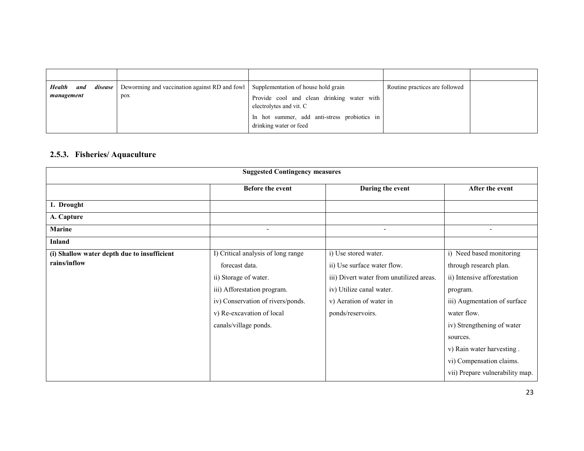| <b>Health</b><br>management | and | <i>disease</i> Deworming and vaccination against RD and fowl   Supplementation of house hold grain<br>pox | Provide cool and clean drinking water with<br>electrolytes and vit. C<br>In hot summer, add anti-stress probiotics in<br>drinking water or feed | Routine practices are followed |  |
|-----------------------------|-----|-----------------------------------------------------------------------------------------------------------|-------------------------------------------------------------------------------------------------------------------------------------------------|--------------------------------|--|

#### 2.5.3. Fisheries/ Aquaculture

| <b>Suggested Contingency measures</b>       |                                    |                                          |                                 |
|---------------------------------------------|------------------------------------|------------------------------------------|---------------------------------|
|                                             | <b>Before the event</b>            | During the event                         | After the event                 |
| 1. Drought                                  |                                    |                                          |                                 |
| A. Capture                                  |                                    |                                          |                                 |
| <b>Marine</b>                               |                                    |                                          |                                 |
| <b>Inland</b>                               |                                    |                                          |                                 |
| (i) Shallow water depth due to insufficient | I) Critical analysis of long range | i) Use stored water.                     | i) Need based monitoring        |
| rains/inflow                                | forecast data.                     | ii) Use surface water flow.              | through research plan.          |
|                                             | ii) Storage of water.              | iii) Divert water from unutilized areas. | ii) Intensive afforestation     |
|                                             | iii) Afforestation program.        | iv) Utilize canal water.                 | program.                        |
|                                             | iv) Conservation of rivers/ponds.  | v) Aeration of water in                  | iii) Augmentation of surface    |
|                                             | v) Re-excavation of local          | ponds/reservoirs.                        | water flow.                     |
|                                             | canals/village ponds.              |                                          | iv) Strengthening of water      |
|                                             |                                    |                                          | sources.                        |
|                                             |                                    |                                          | v) Rain water harvesting.       |
|                                             |                                    |                                          | vi) Compensation claims.        |
|                                             |                                    |                                          | vii) Prepare vulnerability map. |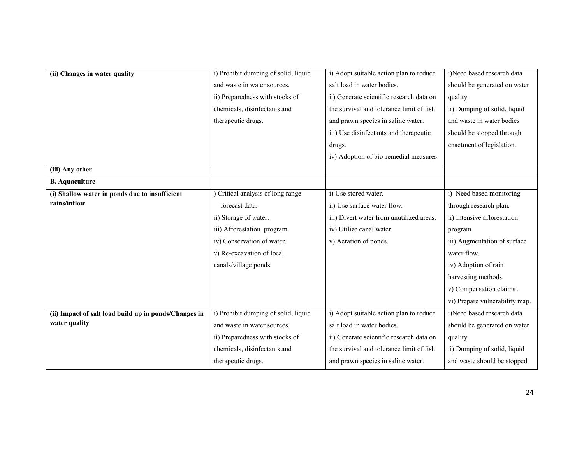| (ii) Changes in water quality                         | i) Prohibit dumping of solid, liquid | i) Adopt suitable action plan to reduce  | i)Need based research data     |
|-------------------------------------------------------|--------------------------------------|------------------------------------------|--------------------------------|
|                                                       |                                      |                                          |                                |
|                                                       | and waste in water sources.          | salt load in water bodies.               | should be generated on water   |
|                                                       | ii) Preparedness with stocks of      | ii) Generate scientific research data on | quality.                       |
|                                                       | chemicals, disinfectants and         | the survival and tolerance limit of fish | ii) Dumping of solid, liquid   |
|                                                       | therapeutic drugs.                   | and prawn species in saline water.       | and waste in water bodies      |
|                                                       |                                      | iii) Use disinfectants and therapeutic   | should be stopped through      |
|                                                       |                                      | drugs.                                   | enactment of legislation.      |
|                                                       |                                      | iv) Adoption of bio-remedial measures    |                                |
| (iii) Any other                                       |                                      |                                          |                                |
| <b>B.</b> Aquaculture                                 |                                      |                                          |                                |
| (i) Shallow water in ponds due to insufficient        | Critical analysis of long range      | i) Use stored water.                     | i) Need based monitoring       |
| rains/inflow                                          | forecast data.                       | ii) Use surface water flow.              | through research plan.         |
|                                                       | ii) Storage of water.                | iii) Divert water from unutilized areas. | ii) Intensive afforestation    |
|                                                       | iii) Afforestation program.          | iv) Utilize canal water.                 | program.                       |
|                                                       | iv) Conservation of water.           | v) Aeration of ponds.                    | iii) Augmentation of surface   |
|                                                       | v) Re-excavation of local            |                                          | water flow.                    |
|                                                       | canals/village ponds.                |                                          | iv) Adoption of rain           |
|                                                       |                                      |                                          | harvesting methods.            |
|                                                       |                                      |                                          | v) Compensation claims.        |
|                                                       |                                      |                                          | vi) Prepare vulnerability map. |
| (ii) Impact of salt load build up in ponds/Changes in | i) Prohibit dumping of solid, liquid | i) Adopt suitable action plan to reduce  | i)Need based research data     |
| water quality                                         | and waste in water sources.          | salt load in water bodies.               | should be generated on water   |
|                                                       | ii) Preparedness with stocks of      | ii) Generate scientific research data on | quality.                       |
|                                                       | chemicals, disinfectants and         | the survival and tolerance limit of fish | ii) Dumping of solid, liquid   |
|                                                       | therapeutic drugs.                   | and prawn species in saline water.       | and waste should be stopped    |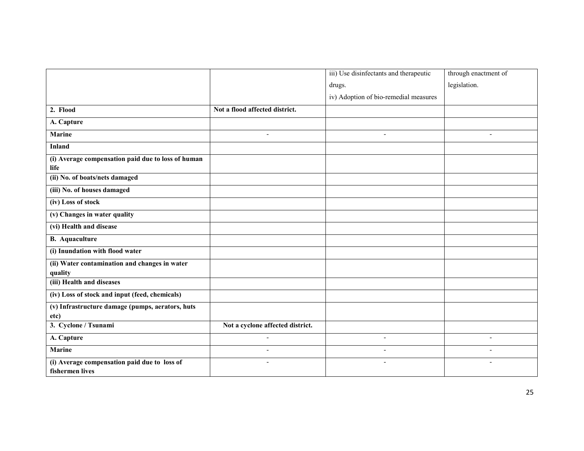|                                                                 |                                  | iii) Use disinfectants and therapeutic | through enactment of     |
|-----------------------------------------------------------------|----------------------------------|----------------------------------------|--------------------------|
|                                                                 |                                  | drugs.                                 | legislation.             |
|                                                                 |                                  | iv) Adoption of bio-remedial measures  |                          |
| 2. Flood                                                        | Not a flood affected district.   |                                        |                          |
| A. Capture                                                      |                                  |                                        |                          |
| <b>Marine</b>                                                   |                                  | $\blacksquare$                         |                          |
| <b>Inland</b>                                                   |                                  |                                        |                          |
| (i) Average compensation paid due to loss of human<br>life      |                                  |                                        |                          |
| (ii) No. of boats/nets damaged                                  |                                  |                                        |                          |
| (iii) No. of houses damaged                                     |                                  |                                        |                          |
| (iv) Loss of stock                                              |                                  |                                        |                          |
| (v) Changes in water quality                                    |                                  |                                        |                          |
| (vi) Health and disease                                         |                                  |                                        |                          |
| <b>B.</b> Aquaculture                                           |                                  |                                        |                          |
| (i) Inundation with flood water                                 |                                  |                                        |                          |
| (ii) Water contamination and changes in water                   |                                  |                                        |                          |
| quality<br>(iii) Health and diseases                            |                                  |                                        |                          |
| (iv) Loss of stock and input (feed, chemicals)                  |                                  |                                        |                          |
| (v) Infrastructure damage (pumps, aerators, huts                |                                  |                                        |                          |
| etc)                                                            |                                  |                                        |                          |
| 3. Cyclone / Tsunami                                            | Not a cyclone affected district. |                                        |                          |
| A. Capture                                                      |                                  | $\overline{\phantom{a}}$               | $\sim$                   |
| <b>Marine</b>                                                   | $\blacksquare$                   | $\overline{\phantom{a}}$               | $\overline{\phantom{a}}$ |
| (i) Average compensation paid due to loss of<br>fishermen lives | $\blacksquare$                   | $\overline{\phantom{a}}$               | $\overline{\phantom{a}}$ |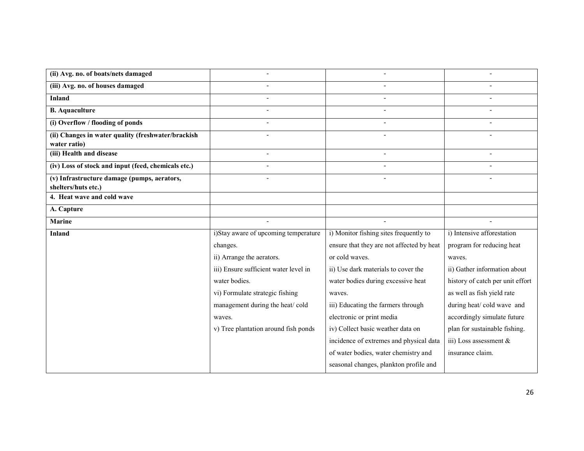| (ii) Avg. no. of boats/nets damaged                 |                                       |                                           |                                  |
|-----------------------------------------------------|---------------------------------------|-------------------------------------------|----------------------------------|
| (iii) Avg. no. of houses damaged                    |                                       |                                           |                                  |
| <b>Inland</b>                                       |                                       |                                           |                                  |
| <b>B.</b> Aquaculture                               |                                       |                                           |                                  |
| (i) Overflow / flooding of ponds                    |                                       |                                           |                                  |
| (ii) Changes in water quality (freshwater/brackish  |                                       |                                           |                                  |
| water ratio)                                        |                                       |                                           |                                  |
| (iii) Health and disease                            |                                       |                                           |                                  |
| (iv) Loss of stock and input (feed, chemicals etc.) |                                       |                                           |                                  |
| (v) Infrastructure damage (pumps, aerators,         |                                       |                                           |                                  |
| shelters/huts etc.)                                 |                                       |                                           |                                  |
| 4. Heat wave and cold wave                          |                                       |                                           |                                  |
| A. Capture                                          |                                       |                                           |                                  |
| <b>Marine</b>                                       |                                       |                                           |                                  |
| <b>Inland</b>                                       | i)Stay aware of upcoming temperature  | i) Monitor fishing sites frequently to    | i) Intensive afforestation       |
|                                                     | changes.                              | ensure that they are not affected by heat | program for reducing heat        |
|                                                     | ii) Arrange the aerators.             | or cold waves.                            | waves.                           |
|                                                     | iii) Ensure sufficient water level in | ii) Use dark materials to cover the       | ii) Gather information about     |
|                                                     | water bodies.                         | water bodies during excessive heat        | history of catch per unit effort |
|                                                     | vi) Formulate strategic fishing       | waves.                                    | as well as fish yield rate       |
|                                                     | management during the heat/cold       | iii) Educating the farmers through        | during heat/cold wave and        |
|                                                     | waves.                                | electronic or print media                 | accordingly simulate future      |
|                                                     | v) Tree plantation around fish ponds  | iv) Collect basic weather data on         | plan for sustainable fishing.    |
|                                                     |                                       | incidence of extremes and physical data   | iii) Loss assessment $\&$        |
|                                                     |                                       | of water bodies, water chemistry and      | insurance claim.                 |
|                                                     |                                       | seasonal changes, plankton profile and    |                                  |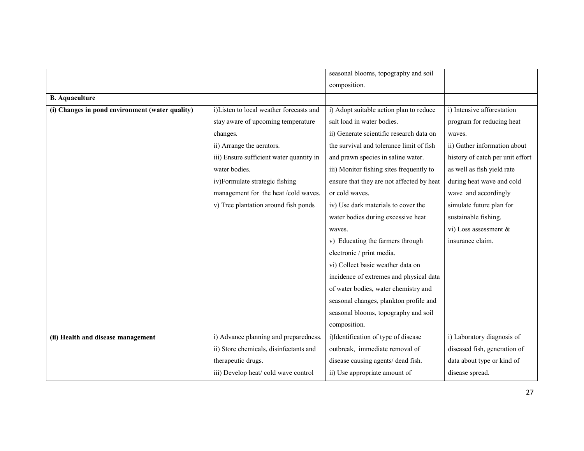|                                                 |                                          | seasonal blooms, topography and soil      |                                  |
|-------------------------------------------------|------------------------------------------|-------------------------------------------|----------------------------------|
|                                                 |                                          | composition.                              |                                  |
| <b>B.</b> Aquaculture                           |                                          |                                           |                                  |
| (i) Changes in pond environment (water quality) | i)Listen to local weather forecasts and  | i) Adopt suitable action plan to reduce   | i) Intensive afforestation       |
|                                                 | stay aware of upcoming temperature       | salt load in water bodies.                | program for reducing heat        |
|                                                 | changes.                                 | ii) Generate scientific research data on  | waves.                           |
|                                                 | ii) Arrange the aerators.                | the survival and tolerance limit of fish  | ii) Gather information about     |
|                                                 | iii) Ensure sufficient water quantity in | and prawn species in saline water.        | history of catch per unit effort |
|                                                 | water bodies.                            | iii) Monitor fishing sites frequently to  | as well as fish yield rate       |
|                                                 | iv)Formulate strategic fishing           | ensure that they are not affected by heat | during heat wave and cold        |
|                                                 | management for the heat/cold waves.      | or cold waves.                            | wave and accordingly             |
|                                                 | v) Tree plantation around fish ponds     | iv) Use dark materials to cover the       | simulate future plan for         |
|                                                 |                                          | water bodies during excessive heat        | sustainable fishing.             |
|                                                 |                                          | waves.                                    | vi) Loss assessment $\&$         |
|                                                 |                                          | v) Educating the farmers through          | insurance claim.                 |
|                                                 |                                          | electronic / print media.                 |                                  |
|                                                 |                                          | vi) Collect basic weather data on         |                                  |
|                                                 |                                          | incidence of extremes and physical data   |                                  |
|                                                 |                                          | of water bodies, water chemistry and      |                                  |
|                                                 |                                          | seasonal changes, plankton profile and    |                                  |
|                                                 |                                          | seasonal blooms, topography and soil      |                                  |
|                                                 |                                          | composition.                              |                                  |
| (ii) Health and disease management              | i) Advance planning and preparedness.    | i)Identification of type of disease       | i) Laboratory diagnosis of       |
|                                                 | ii) Store chemicals, disinfectants and   | outbreak, immediate removal of            | diseased fish, generation of     |
|                                                 | therapeutic drugs.                       | disease causing agents/ dead fish.        | data about type or kind of       |
|                                                 | iii) Develop heat/ cold wave control     | ii) Use appropriate amount of             | disease spread.                  |